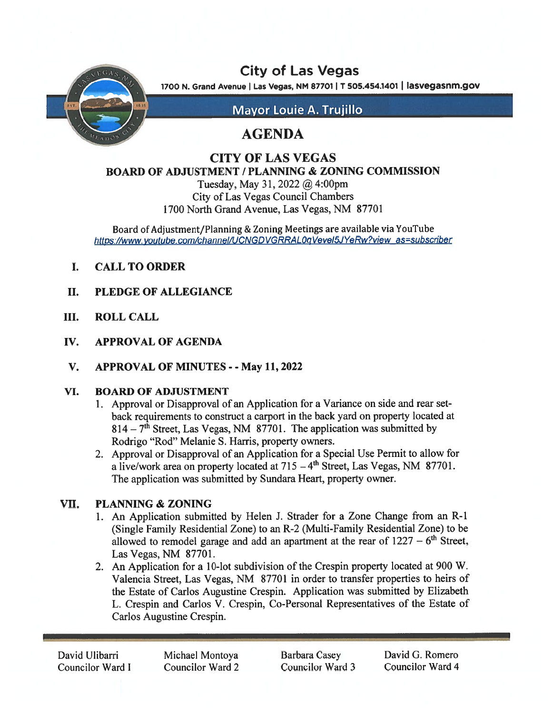

# City of Las Vegas

1700 N. Grand Avenue | Las Vegas, NM 87701 | T 505.454.1401 | lasvegasnm.gov

Mayor Louie A. Trujillo

# AGENDA

## CITY OF LAS VEGAS BOARD OF ADJUSTMENT / PLANNING & ZONING COMMISSION

Tuesday, May 31, 2022 @ 4:00pm City of Las Vegas Council Chambers 1700 North Grand Avenue, Las Vegas, NM 87701

Board of Adjustment/Planning & Zoning Meetings are available via YouTube https://www.youtube.com/channel/UCNGDVGRRAL0qVevel5JYeRw?view as=subscriber

- I. CALL TO ORDER
- II. PLEDGE OF ALLEGIANCE
- III. ROLL CALL
- IV. APPROVAL OF AGENDA
- V. APPROVAL OF MINUTES -May 11, 2022

### VI. BOARD OF ADJUSTMENT

- 1. Approval or Disapproval of an Application for <sup>a</sup> Variance on side and rear set back requirements to construct <sup>a</sup> carpor<sup>t</sup> in the back yard on property located at  $814 - 7<sup>th</sup>$  Street, Las Vegas, NM 87701. The application was submitted by Rodrigo "Rod" Melanie S. Harris, property owners.
- 2. Approval or Disapproval of an Application for <sup>a</sup> Special Use Permit to allow for a live/work area on property located at  $715 - 4$ <sup>th</sup> Street, Las Vegas, NM 87701. The application was submitted by Sundara Heart, property owner.

### VII. PLANNING & ZONING

- 1. An Application submitted by Helen J. Strader for a Zone Change from an R-1 (Single Family Residential Zone) to an R-2 (Multi-Family Residential Zone) to be allowed to remodel garage and add an apartment at the rear of  $1227 - 6$ <sup>th</sup> Street, Las Vegas, NM 87701.
- 2. An Application for <sup>a</sup> 10-lot subdivision of the Crespin property located at 900 W. Valencia Street, Las Vegas, NM 87701 in order to transfer properties to heirs of the Estate of Carlos Augustine Crespin. Application was submitted by Elizabeth L. Crespin and Carlos V. Crespin, Co-Personal Representatives of the Estate of Carlos Augustine Crespin.

David Ulibarri Michael Montoya Barbara Casey David G. Romero<br>Councilor Ward I Councilor Ward 2 Councilor Ward 3 Councilor Ward 4